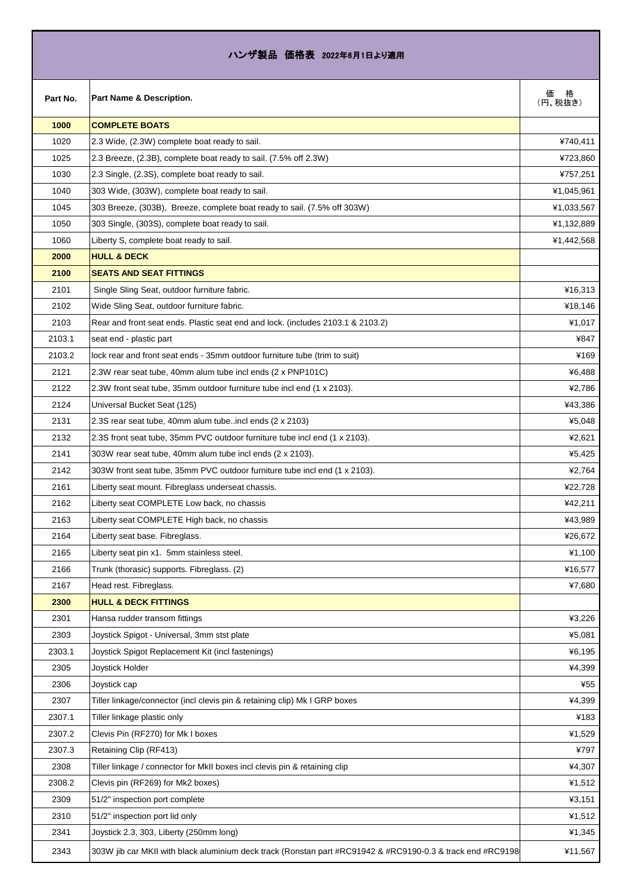| ハンザ製品 価格表 2022年6月1日より適用 |                                                                                                            |                   |
|-------------------------|------------------------------------------------------------------------------------------------------------|-------------------|
| Part No.                | Part Name & Description.                                                                                   | 価<br>格<br>(円、税抜き) |
| 1000                    | <b>COMPLETE BOATS</b>                                                                                      |                   |
| 1020                    | 2.3 Wide, (2.3W) complete boat ready to sail.                                                              | ¥740,411          |
| 1025                    | 2.3 Breeze, (2.3B), complete boat ready to sail. (7.5% off 2.3W)                                           | ¥723,860          |
| 1030                    | 2.3 Single, (2.3S), complete boat ready to sail.                                                           | ¥757,251          |
| 1040                    | 303 Wide, (303W), complete boat ready to sail.                                                             | ¥1,045,961        |
| 1045                    | 303 Breeze, (303B), Breeze, complete boat ready to sail. (7.5% off 303W)                                   | ¥1,033,567        |
| 1050                    | 303 Single, (303S), complete boat ready to sail.                                                           | ¥1,132,889        |
| 1060                    | Liberty S, complete boat ready to sail.                                                                    | ¥1,442,568        |
| 2000                    | <b>HULL &amp; DECK</b>                                                                                     |                   |
| 2100                    | <b>SEATS AND SEAT FITTINGS</b>                                                                             |                   |
| 2101                    | Single Sling Seat, outdoor furniture fabric.                                                               | ¥16,313           |
| 2102                    | Wide Sling Seat, outdoor furniture fabric.                                                                 | ¥18,146           |
| 2103                    | Rear and front seat ends. Plastic seat end and lock. (includes 2103.1 & 2103.2)                            | ¥1,017            |
| 2103.1                  | seat end - plastic part                                                                                    | ¥847              |
| 2103.2                  | lock rear and front seat ends - 35mm outdoor furniture tube (trim to suit)                                 | ¥169              |
| 2121                    | 2.3W rear seat tube, 40mm alum tube incl ends (2 x PNP101C)                                                | ¥6,488            |
| 2122                    | 2.3W front seat tube, 35mm outdoor furniture tube incl end (1 x 2103).                                     | ¥2,786            |
| 2124                    | Universal Bucket Seat (125)                                                                                | ¥43,386           |
| 2131                    | 2.3S rear seat tube, 40mm alum tubeincl ends (2 x 2103)                                                    | ¥5,048            |
| 2132                    | 2.3S front seat tube, 35mm PVC outdoor furniture tube incl end (1 x 2103).                                 | ¥2,621            |
| 2141                    | 303W rear seat tube, 40mm alum tube incl ends (2 x 2103).                                                  | ¥5,425            |
| 2142                    | 303W front seat tube, 35mm PVC outdoor furniture tube incl end (1 x 2103).                                 | ¥2,764            |
| 2161                    | Liberty seat mount. Fibreglass underseat chassis.                                                          | ¥22,728           |
| 2162                    | Liberty seat COMPLETE Low back, no chassis                                                                 | ¥42,211           |
| 2163                    | Liberty seat COMPLETE High back, no chassis                                                                | ¥43,989           |
| 2164                    | Liberty seat base. Fibreglass.                                                                             | ¥26,672           |
| 2165                    | Liberty seat pin x1. 5mm stainless steel.                                                                  | ¥1,100            |
| 2166                    | Trunk (thorasic) supports. Fibreglass. (2)                                                                 | ¥16,577           |
| 2167                    | Head rest. Fibreglass.                                                                                     | ¥7,680            |
| 2300                    | <b>HULL &amp; DECK FITTINGS</b>                                                                            |                   |
| 2301                    | Hansa rudder transom fittings                                                                              | ¥3,226            |
| 2303                    | Joystick Spigot - Universal, 3mm stst plate                                                                | ¥5,081            |
| 2303.1                  | Joystick Spigot Replacement Kit (incl fastenings)                                                          | ¥6,195            |
| 2305                    | Joystick Holder                                                                                            | ¥4,399            |
| 2306                    | Joystick cap                                                                                               | ¥55               |
| 2307                    | Tiller linkage/connector (incl clevis pin & retaining clip) Mk I GRP boxes                                 | ¥4,399            |
| 2307.1                  | Tiller linkage plastic only                                                                                | ¥183              |
| 2307.2                  | Clevis Pin (RF270) for Mk I boxes                                                                          | ¥1,529            |
| 2307.3                  | Retaining Clip (RF413)                                                                                     | ¥797              |
| 2308                    | Tiller linkage / connector for MkII boxes incl clevis pin & retaining clip                                 | ¥4,307            |
| 2308.2                  | Clevis pin (RF269) for Mk2 boxes)                                                                          | ¥1,512            |
| 2309                    | 51/2" inspection port complete                                                                             | ¥3,151            |
| 2310                    | 51/2" inspection port lid only                                                                             | ¥1,512            |
| 2341                    | Joystick 2.3, 303, Liberty (250mm long)                                                                    | ¥1,345            |
| 2343                    | 303W jib car MKII with black aluminium deck track (Ronstan part #RC91942 & #RC9190-0.3 & track end #RC9198 | ¥11,567           |

Г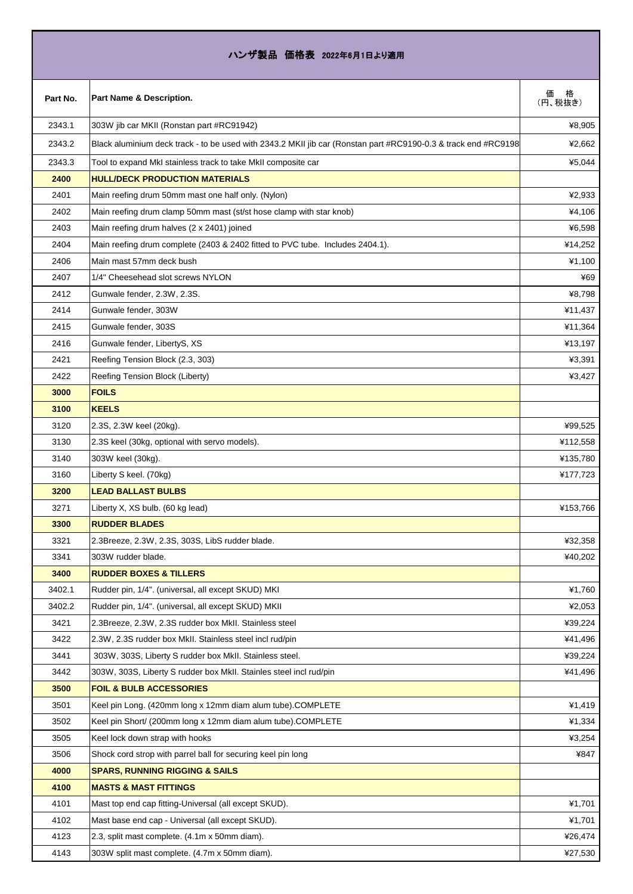## ハンザ製品 価格表 2022年6月1日より適用

| Part No. | Part Name & Description.                                                                                       | 価<br>(円、税抜き) |
|----------|----------------------------------------------------------------------------------------------------------------|--------------|
| 2343.1   | 303W jib car MKII (Ronstan part #RC91942)                                                                      | ¥8,905       |
| 2343.2   | Black aluminium deck track - to be used with 2343.2 MKII jib car (Ronstan part #RC9190-0.3 & track end #RC9198 | ¥2.662       |
| 2343.3   | Tool to expand MkI stainless track to take MkII composite car                                                  | ¥5,044       |
| 2400     | <b>HULL/DECK PRODUCTION MATERIALS</b>                                                                          |              |
| 2401     | Main reefing drum 50mm mast one half only. (Nylon)                                                             | ¥2,933       |
| 2402     | Main reefing drum clamp 50mm mast (st/st hose clamp with star knob)                                            | ¥4,106       |
| 2403     | Main reefing drum halves (2 x 2401) joined                                                                     | ¥6,598       |
| 2404     | Main reefing drum complete (2403 & 2402 fitted to PVC tube. Includes 2404.1).                                  | ¥14,252      |
| 2406     | Main mast 57mm deck bush                                                                                       | ¥1,100       |
| 2407     | 1/4" Cheesehead slot screws NYLON                                                                              | ¥69          |
| 2412     | Gunwale fender, 2.3W, 2.3S.                                                                                    | ¥8,798       |
| 2414     | Gunwale fender, 303W                                                                                           | ¥11,437      |
| 2415     | Gunwale fender, 303S                                                                                           | ¥11,364      |
| 2416     | Gunwale fender, LibertyS, XS                                                                                   | ¥13,197      |
| 2421     | Reefing Tension Block (2.3, 303)                                                                               | ¥3,391       |
| 2422     | Reefing Tension Block (Liberty)                                                                                | ¥3,427       |
| 3000     | <b>FOILS</b>                                                                                                   |              |
| 3100     | <b>KEELS</b>                                                                                                   |              |
| 3120     | 2.3S, 2.3W keel (20kg).                                                                                        | ¥99,525      |
| 3130     | 2.3S keel (30kg, optional with servo models).                                                                  | ¥112,558     |
| 3140     | 303W keel (30kg).                                                                                              | ¥135,780     |
| 3160     | Liberty S keel. (70kg)                                                                                         | ¥177,723     |
| 3200     | <b>LEAD BALLAST BULBS</b>                                                                                      |              |
| 3271     | Liberty X, XS bulb. (60 kg lead)                                                                               | ¥153,766     |
| 3300     | <b>RUDDER BLADES</b>                                                                                           |              |
| 3321     | 2.3Breeze, 2.3W, 2.3S, 303S, LibS rudder blade.                                                                | ¥32,358      |
| 3341     | 303W rudder blade.                                                                                             | ¥40,202      |
| 3400     | <b>RUDDER BOXES &amp; TILLERS</b>                                                                              |              |
| 3402.1   | Rudder pin, 1/4". (universal, all except SKUD) MKI                                                             | ¥1,760       |
| 3402.2   | Rudder pin, 1/4". (universal, all except SKUD) MKII                                                            | ¥2,053       |
| 3421     | 2.3Breeze, 2.3W, 2.3S rudder box MkII. Stainless steel                                                         | ¥39,224      |
| 3422     | 2.3W, 2.3S rudder box MkII. Stainless steel incl rud/pin                                                       | ¥41,496      |
| 3441     | 303W, 303S, Liberty S rudder box MkII. Stainless steel.                                                        | ¥39,224      |
| 3442     | 303W, 303S, Liberty S rudder box MkII. Stainles steel incl rud/pin                                             | ¥41,496      |
| 3500     | <b>FOIL &amp; BULB ACCESSORIES</b>                                                                             |              |
| 3501     | Keel pin Long. (420mm long x 12mm diam alum tube).COMPLETE                                                     | ¥1,419       |
| 3502     | Keel pin Short/ (200mm long x 12mm diam alum tube).COMPLETE                                                    | ¥1,334       |
| 3505     | Keel lock down strap with hooks                                                                                | ¥3,254       |
| 3506     | Shock cord strop with parrel ball for securing keel pin long                                                   | ¥847         |
| 4000     | <b>SPARS, RUNNING RIGGING &amp; SAILS</b>                                                                      |              |
| 4100     | <b>MASTS &amp; MAST FITTINGS</b>                                                                               |              |
| 4101     | Mast top end cap fitting-Universal (all except SKUD).                                                          | ¥1,701       |
| 4102     | Mast base end cap - Universal (all except SKUD).                                                               | ¥1,701       |
| 4123     | 2.3, split mast complete. (4.1m x 50mm diam).                                                                  | ¥26,474      |
| 4143     | 303W split mast complete. (4.7m x 50mm diam).                                                                  | ¥27,530      |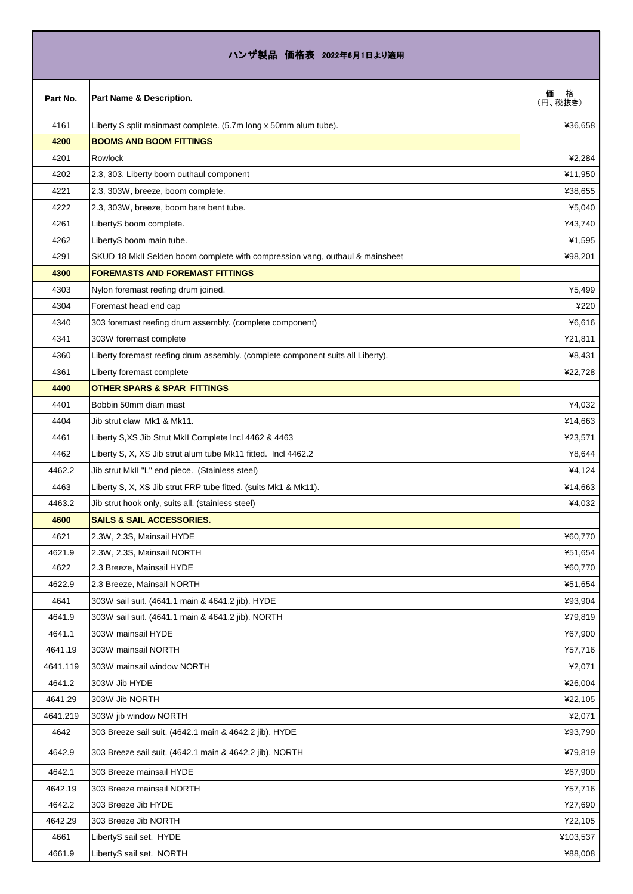| ハンザ製品 価格表 2022年6月1日より適用 |                                                                                 |                   |
|-------------------------|---------------------------------------------------------------------------------|-------------------|
| Part No.                | Part Name & Description.                                                        | 価<br>格<br>(円、税抜き) |
| 4161                    | Liberty S split mainmast complete. (5.7m long x 50mm alum tube).                | ¥36,658           |
| 4200                    | <b>BOOMS AND BOOM FITTINGS</b>                                                  |                   |
| 4201                    | Rowlock                                                                         | ¥2,284            |
| 4202                    | 2.3, 303, Liberty boom outhaul component                                        | ¥11,950           |
| 4221                    | 2.3, 303W, breeze, boom complete.                                               | ¥38,655           |
| 4222                    | 2.3, 303W, breeze, boom bare bent tube.                                         | ¥5,040            |
| 4261                    | LibertyS boom complete.                                                         | ¥43,740           |
| 4262                    | LibertyS boom main tube.                                                        | ¥1,595            |
| 4291                    | SKUD 18 MkII Selden boom complete with compression vang, outhaul & mainsheet    | ¥98,201           |
| 4300                    | <b>FOREMASTS AND FOREMAST FITTINGS</b>                                          |                   |
| 4303                    | Nylon foremast reefing drum joined.                                             | ¥5,499            |
| 4304                    | Foremast head end cap                                                           | ¥220              |
| 4340                    | 303 foremast reefing drum assembly. (complete component)                        | ¥6,616            |
| 4341                    | 303W foremast complete                                                          | ¥21,811           |
| 4360                    | Liberty foremast reefing drum assembly. (complete component suits all Liberty). | ¥8,431            |
| 4361                    | Liberty foremast complete                                                       | ¥22,728           |
| 4400                    | <b>OTHER SPARS &amp; SPAR FITTINGS</b>                                          |                   |
| 4401                    | Bobbin 50mm diam mast                                                           | ¥4,032            |
| 4404                    | Jib strut claw Mk1 & Mk11.                                                      | ¥14,663           |
| 4461                    | Liberty S,XS Jib Strut MkII Complete Incl 4462 & 4463                           | ¥23,571           |
| 4462                    | Liberty S, X, XS Jib strut alum tube Mk11 fitted. Incl 4462.2                   | ¥8,644            |
| 4462.2                  | Jib strut MkII "L" end piece. (Stainless steel)                                 | ¥4,124            |
| 4463                    | Liberty S, X, XS Jib strut FRP tube fitted. (suits Mk1 & Mk11).                 | ¥14,663           |
| 4463.2                  | Jib strut hook only, suits all. (stainless steel)                               | ¥4,032            |
| 4600                    | <b>SAILS &amp; SAIL ACCESSORIES.</b>                                            |                   |
| 4621                    | 2.3W, 2.3S, Mainsail HYDE                                                       | ¥60,770           |
| 4621.9                  | 2.3W, 2.3S, Mainsail NORTH                                                      | ¥51,654           |
| 4622                    | 2.3 Breeze, Mainsail HYDE                                                       | ¥60,770           |
| 4622.9                  | 2.3 Breeze, Mainsail NORTH                                                      | ¥51,654           |
| 4641                    | 303W sail suit. (4641.1 main & 4641.2 jib). HYDE                                | ¥93,904           |
| 4641.9                  | 303W sail suit. (4641.1 main & 4641.2 jib). NORTH                               | ¥79,819           |
| 4641.1                  | 303W mainsail HYDE                                                              | ¥67,900           |
| 4641.19                 | 303W mainsail NORTH                                                             | ¥57,716           |
| 4641.119                | 303W mainsail window NORTH                                                      | ¥2,071            |
| 4641.2                  | 303W Jib HYDE                                                                   | ¥26,004           |
| 4641.29                 | 303W Jib NORTH                                                                  | ¥22,105           |
| 4641.219                | 303W jib window NORTH                                                           | ¥2,071            |
| 4642                    | 303 Breeze sail suit. (4642.1 main & 4642.2 jib). HYDE                          | ¥93,790           |
| 4642.9                  | 303 Breeze sail suit. (4642.1 main & 4642.2 jib). NORTH                         | ¥79,819           |
| 4642.1                  | 303 Breeze mainsail HYDE                                                        | ¥67,900           |
| 4642.19                 | 303 Breeze mainsail NORTH                                                       | ¥57,716           |
| 4642.2                  | 303 Breeze Jib HYDE                                                             | ¥27,690           |
| 4642.29                 | 303 Breeze Jib NORTH                                                            | ¥22,105           |
| 4661                    | LibertyS sail set. HYDE                                                         | ¥103,537          |
| 4661.9                  | LibertyS sail set. NORTH                                                        | ¥88,008           |

**T**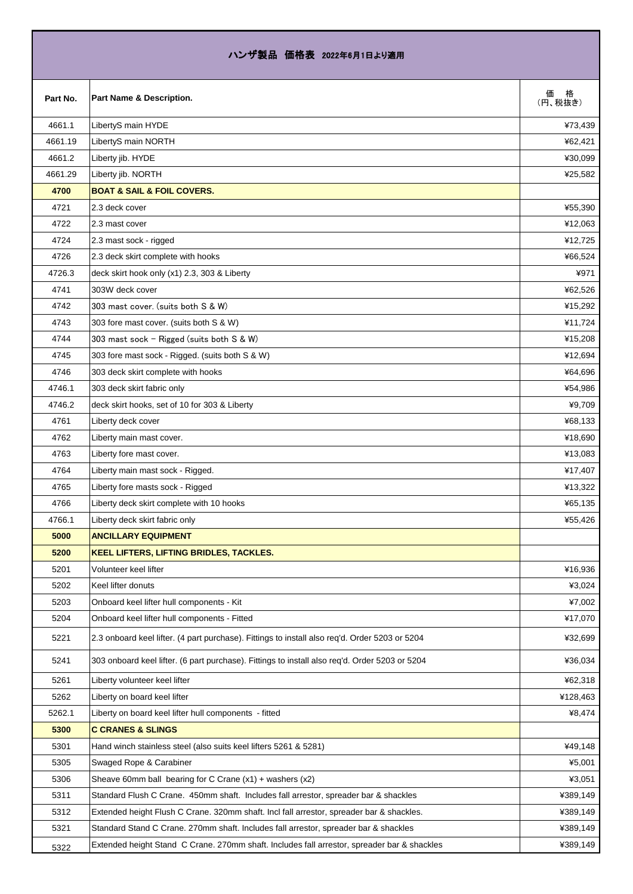| ハンザ製品 価格表 2022年6月1日より適用 |                                                                                                |                   |
|-------------------------|------------------------------------------------------------------------------------------------|-------------------|
| Part No.                | Part Name & Description.                                                                       | 価<br>格<br>(円、税抜き) |
| 4661.1                  | LibertyS main HYDE                                                                             | ¥73,439           |
| 4661.19                 | LibertyS main NORTH                                                                            | ¥62,421           |
| 4661.2                  | Liberty jib. HYDE                                                                              | ¥30,099           |
| 4661.29                 | Liberty jib. NORTH                                                                             | ¥25,582           |
| 4700                    | <b>BOAT &amp; SAIL &amp; FOIL COVERS.</b>                                                      |                   |
| 4721                    | 2.3 deck cover                                                                                 | ¥55,390           |
| 4722                    | 2.3 mast cover                                                                                 | ¥12,063           |
| 4724                    | 2.3 mast sock - rigged                                                                         | ¥12,725           |
| 4726                    | 2.3 deck skirt complete with hooks                                                             | ¥66,524           |
| 4726.3                  | deck skirt hook only (x1) 2.3, 303 & Liberty                                                   | ¥971              |
| 4741                    | 303W deck cover                                                                                | ¥62,526           |
| 4742                    | 303 mast cover. (suits both S & W)                                                             | ¥15,292           |
| 4743                    | 303 fore mast cover. (suits both S & W)                                                        | ¥11,724           |
| 4744                    | 303 mast sock - Rigged (suits both S & W)                                                      | ¥15,208           |
| 4745                    | 303 fore mast sock - Rigged. (suits both S & W)                                                | ¥12,694           |
| 4746                    | 303 deck skirt complete with hooks                                                             | ¥64,696           |
| 4746.1                  | 303 deck skirt fabric only                                                                     | ¥54,986           |
| 4746.2                  | deck skirt hooks, set of 10 for 303 & Liberty                                                  | ¥9,709            |
| 4761                    | Liberty deck cover                                                                             | ¥68,133           |
| 4762                    | Liberty main mast cover.                                                                       | ¥18,690           |
| 4763                    | Liberty fore mast cover.                                                                       | ¥13,083           |
| 4764                    | Liberty main mast sock - Rigged.                                                               | ¥17,407           |
| 4765                    | Liberty fore masts sock - Rigged                                                               | ¥13,322           |
| 4766                    | Liberty deck skirt complete with 10 hooks                                                      | ¥65,135           |
| 4766.1                  | Liberty deck skirt fabric only                                                                 | ¥55,426           |
| 5000                    | <b>ANCILLARY EQUIPMENT</b>                                                                     |                   |
| 5200                    | KEEL LIFTERS, LIFTING BRIDLES, TACKLES.                                                        |                   |
| 5201                    | Volunteer keel lifter                                                                          | ¥16,936           |
| 5202                    | Keel lifter donuts                                                                             | ¥3,024            |
| 5203                    | Onboard keel lifter hull components - Kit                                                      | ¥7,002            |
| 5204                    | Onboard keel lifter hull components - Fitted                                                   | ¥17,070           |
| 5221                    | 2.3 onboard keel lifter. (4 part purchase). Fittings to install also req'd. Order 5203 or 5204 | ¥32,699           |
| 5241                    | 303 onboard keel lifter. (6 part purchase). Fittings to install also reg'd. Order 5203 or 5204 | ¥36,034           |
| 5261                    | Liberty volunteer keel lifter                                                                  | ¥62,318           |
| 5262                    | Liberty on board keel lifter                                                                   | ¥128,463          |
| 5262.1                  | Liberty on board keel lifter hull components - fitted                                          | ¥8,474            |
| 5300                    | <b>C CRANES &amp; SLINGS</b>                                                                   |                   |
| 5301                    | Hand winch stainless steel (also suits keel lifters 5261 & 5281)                               | ¥49,148           |
| 5305                    | Swaged Rope & Carabiner                                                                        | ¥5,001            |
| 5306                    | Sheave 60mm ball bearing for C Crane (x1) + washers (x2)                                       | ¥3,051            |
| 5311                    | Standard Flush C Crane. 450mm shaft. Includes fall arrestor, spreader bar & shackles           | ¥389,149          |
| 5312                    | Extended height Flush C Crane. 320mm shaft. Incl fall arrestor, spreader bar & shackles.       | ¥389,149          |
| 5321                    | Standard Stand C Crane. 270mm shaft. Includes fall arrestor, spreader bar & shackles           | ¥389,149          |
| 5322                    | Extended height Stand C Crane. 270mm shaft. Includes fall arrestor, spreader bar & shackles    | ¥389,149          |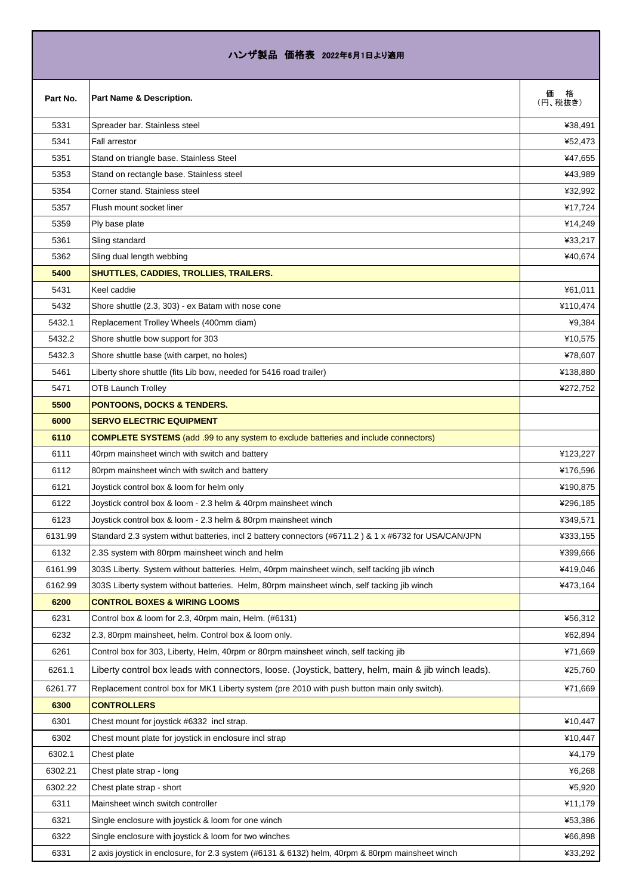| ハンザ製品 価格表 2022年6月1日より適用 |                                                                                                       |               |
|-------------------------|-------------------------------------------------------------------------------------------------------|---------------|
| Part No.                | Part Name & Description.                                                                              | 価格<br>(円、税抜き) |
| 5331                    | Spreader bar. Stainless steel                                                                         | ¥38,491       |
| 5341                    | <b>Fall arrestor</b>                                                                                  | ¥52,473       |
| 5351                    | Stand on triangle base. Stainless Steel                                                               | ¥47,655       |
| 5353                    | Stand on rectangle base. Stainless steel                                                              | ¥43,989       |
| 5354                    | Corner stand, Stainless steel                                                                         | ¥32,992       |
| 5357                    | Flush mount socket liner                                                                              | ¥17,724       |
| 5359                    | Ply base plate                                                                                        | ¥14,249       |
| 5361                    | Sling standard                                                                                        | ¥33,217       |
| 5362                    | Sling dual length webbing                                                                             | ¥40,674       |
| 5400                    | SHUTTLES, CADDIES, TROLLIES, TRAILERS.                                                                |               |
| 5431                    | Keel caddie                                                                                           | ¥61,011       |
| 5432                    | Shore shuttle (2.3, 303) - ex Batam with nose cone                                                    | ¥110,474      |
| 5432.1                  | Replacement Trolley Wheels (400mm diam)                                                               | ¥9,384        |
| 5432.2                  | Shore shuttle bow support for 303                                                                     | ¥10,575       |
| 5432.3                  | Shore shuttle base (with carpet, no holes)                                                            | ¥78,607       |
| 5461                    | Liberty shore shuttle (fits Lib bow, needed for 5416 road trailer)                                    | ¥138,880      |
| 5471                    | <b>OTB Launch Trolley</b>                                                                             | ¥272,752      |
| 5500                    | <b>PONTOONS, DOCKS &amp; TENDERS.</b>                                                                 |               |
| 6000                    | <b>SERVO ELECTRIC EQUIPMENT</b>                                                                       |               |
| 6110                    | <b>COMPLETE SYSTEMS</b> (add .99 to any system to exclude batteries and include connectors)           |               |
| 6111                    | 40rpm mainsheet winch with switch and battery                                                         | ¥123,227      |
| 6112                    | 80rpm mainsheet winch with switch and battery                                                         | ¥176,596      |
| 6121                    | Joystick control box & loom for helm only                                                             | ¥190,875      |
| 6122                    | Joystick control box & loom - 2.3 helm & 40rpm mainsheet winch                                        | ¥296,185      |
| 6123                    | Joystick control box & loom - 2.3 helm & 80rpm mainsheet winch                                        | ¥349,571      |
| 6131.99                 | Standard 2.3 system withut batteries, incl 2 battery connectors (#6711.2) & 1 x #6732 for USA/CAN/JPN | ¥333,155      |
| 6132                    | 2.3S system with 80rpm mainsheet winch and helm                                                       | ¥399,666      |
| 6161.99                 | 303S Liberty. System without batteries. Helm, 40rpm mainsheet winch, self tacking jib winch           | ¥419,046      |
| 6162.99                 | 303S Liberty system without batteries. Helm, 80rpm mainsheet winch, self tacking jib winch            | ¥473,164      |
| 6200                    | <b>CONTROL BOXES &amp; WIRING LOOMS</b>                                                               |               |
| 6231                    | Control box & loom for 2.3, 40rpm main, Helm. (#6131)                                                 | ¥56,312       |
| 6232                    | 2.3, 80rpm mainsheet, helm. Control box & loom only.                                                  | ¥62,894       |
| 6261                    | Control box for 303, Liberty, Helm, 40rpm or 80rpm mainsheet winch, self tacking jib                  | ¥71,669       |
| 6261.1                  | Liberty control box leads with connectors, loose. (Joystick, battery, helm, main & jib winch leads).  | ¥25,760       |
| 6261.77                 | Replacement control box for MK1 Liberty system (pre 2010 with push button main only switch).          | ¥71,669       |
| 6300                    | <b>CONTROLLERS</b>                                                                                    |               |
| 6301                    | Chest mount for joystick #6332 incl strap.                                                            | ¥10,447       |
| 6302                    | Chest mount plate for joystick in enclosure incl strap                                                | ¥10,447       |
| 6302.1                  | Chest plate                                                                                           | ¥4,179        |
| 6302.21                 | Chest plate strap - long                                                                              | ¥6,268        |
| 6302.22                 | Chest plate strap - short                                                                             | ¥5,920        |
| 6311                    | Mainsheet winch switch controller                                                                     | ¥11,179       |
| 6321                    | Single enclosure with joystick & loom for one winch                                                   | ¥53,386       |
| 6322                    | Single enclosure with joystick & loom for two winches                                                 | ¥66,898       |
| 6331                    | 2 axis joystick in enclosure, for 2.3 system (#6131 & 6132) helm, 40rpm & 80rpm mainsheet winch       | ¥33,292       |

Г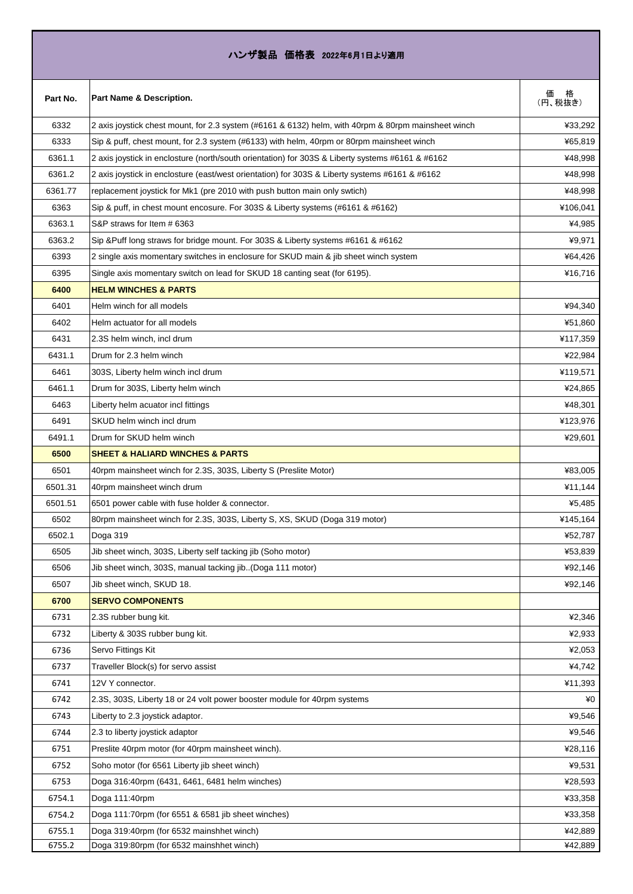## ハンザ製品 価格表 2022年6月1日より適用

| Part No. | Part Name & Description.                                                                            | 価<br>格<br>(円、税抜き) |
|----------|-----------------------------------------------------------------------------------------------------|-------------------|
| 6332     | 2 axis joystick chest mount, for 2.3 system (#6161 & 6132) helm, with 40rpm & 80rpm mainsheet winch | ¥33,292           |
| 6333     | Sip & puff, chest mount, for 2.3 system (#6133) with helm, 40rpm or 80rpm mainsheet winch           | ¥65,819           |
| 6361.1   | 2 axis joystick in enclosture (north/south orientation) for 303S & Liberty systems #6161 & #6162    | ¥48,998           |
| 6361.2   | 2 axis joystick in enclosture (east/west orientation) for 303S & Liberty systems #6161 & #6162      | ¥48,998           |
| 6361.77  | replacement joystick for Mk1 (pre 2010 with push button main only swtich)                           | ¥48,998           |
| 6363     | Sip & puff, in chest mount encosure. For 303S & Liberty systems (#6161 & #6162)                     | ¥106,041          |
| 6363.1   | S&P straws for Item # 6363                                                                          | ¥4,985            |
| 6363.2   | Sip &Puff long straws for bridge mount. For 303S & Liberty systems #6161 & #6162                    | ¥9,971            |
| 6393     | 2 single axis momentary switches in enclosure for SKUD main & jib sheet winch system                | ¥64,426           |
| 6395     | Single axis momentary switch on lead for SKUD 18 canting seat (for 6195).                           | ¥16,716           |
| 6400     | <b>HELM WINCHES &amp; PARTS</b>                                                                     |                   |
| 6401     | Helm winch for all models                                                                           | ¥94,340           |
| 6402     | Helm actuator for all models                                                                        | ¥51,860           |
| 6431     | 2.3S helm winch, incl drum                                                                          | ¥117,359          |
| 6431.1   | Drum for 2.3 helm winch                                                                             | ¥22,984           |
| 6461     | 303S, Liberty helm winch incl drum                                                                  | ¥119,571          |
| 6461.1   | Drum for 303S, Liberty helm winch                                                                   | ¥24,865           |
| 6463     | Liberty helm acuator incl fittings                                                                  | ¥48,301           |
| 6491     | SKUD helm winch incl drum                                                                           | ¥123,976          |
| 6491.1   | Drum for SKUD helm winch                                                                            | ¥29,601           |
| 6500     | <b>SHEET &amp; HALIARD WINCHES &amp; PARTS</b>                                                      |                   |
| 6501     | 40rpm mainsheet winch for 2.3S, 303S, Liberty S (Preslite Motor)                                    | ¥83,005           |
| 6501.31  | 40rpm mainsheet winch drum                                                                          | ¥11,144           |
| 6501.51  | 6501 power cable with fuse holder & connector.                                                      | ¥5,485            |
| 6502     | 80rpm mainsheet winch for 2.3S, 303S, Liberty S, XS, SKUD (Doga 319 motor)                          | ¥145,164          |
| 6502.1   | Doga 319                                                                                            | ¥52,787           |
| 6505     | Jib sheet winch, 303S, Liberty self tacking jib (Soho motor)                                        | ¥53,839           |
| 6506     | Jib sheet winch, 303S, manual tacking jib(Doga 111 motor)                                           | ¥92,146           |
| 6507     | Jib sheet winch, SKUD 18.                                                                           | ¥92,146           |
| 6700     | <b>SERVO COMPONENTS</b>                                                                             |                   |
| 6731     | 2.3S rubber bung kit.                                                                               | ¥2,346            |
| 6732     | Liberty & 303S rubber bung kit.                                                                     | ¥2,933            |
| 6736     | Servo Fittings Kit                                                                                  | ¥2,053            |
| 6737     | Traveller Block(s) for servo assist                                                                 | ¥4,742            |
| 6741     | 12V Y connector.                                                                                    | ¥11,393           |
| 6742     | 2.3S, 303S, Liberty 18 or 24 volt power booster module for 40rpm systems                            | ¥0                |
| 6743     | Liberty to 2.3 joystick adaptor.                                                                    | ¥9,546            |
| 6744     | 2.3 to liberty joystick adaptor                                                                     | ¥9,546            |
| 6751     | Preslite 40rpm motor (for 40rpm mainsheet winch).                                                   | ¥28,116           |
| 6752     | Soho motor (for 6561 Liberty jib sheet winch)                                                       | ¥9,531            |
| 6753     | Doga 316:40rpm (6431, 6461, 6481 helm winches)                                                      | ¥28,593           |
| 6754.1   | Doga 111:40rpm                                                                                      | ¥33,358           |
| 6754.2   | Doga 111:70rpm (for 6551 & 6581 jib sheet winches)                                                  | ¥33,358           |
| 6755.1   | Doga 319:40rpm (for 6532 mainshhet winch)                                                           | ¥42,889           |
| 6755.2   | Doga 319:80rpm (for 6532 mainshhet winch)                                                           | ¥42,889           |